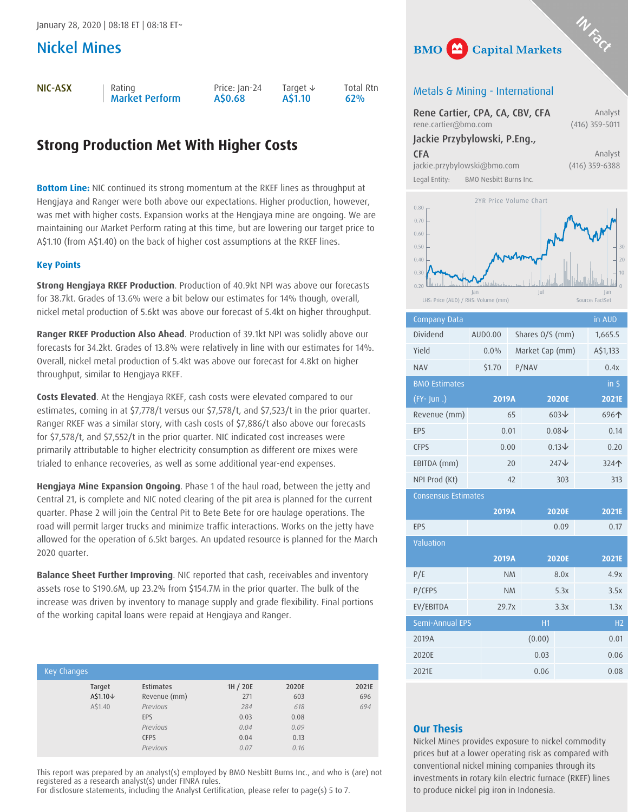## Nickel Mines

NIC-ASX | Rating

```
Market Perform
```

```
Price: Jan-24
A$0.68
```
Target ↓ A\$1.10

```
Total Rtn<br>62%
```
# **Strong Production Met With Higher Costs**

**Bottom Line:** NIC continued its strong momentum at the RKEF lines as throughput at Hengjaya and Ranger were both above our expectations. Higher production, however, was met with higher costs. Expansion works at the Hengjaya mine are ongoing. We are maintaining our Market Perform rating at this time, but are lowering our target price to A\$1.10 (from A\$1.40) on the back of higher cost assumptions at the RKEF lines.

## **Key Points**

**Strong Hengjaya RKEF Production**. Production of 40.9kt NPI was above our forecasts for 38.7kt. Grades of 13.6% were a bit below our estimates for 14% though, overall, nickel metal production of 5.6kt was above our forecast of 5.4kt on higher throughput.

**Ranger RKEF Production Also Ahead**. Production of 39.1kt NPI was solidly above our forecasts for 34.2kt. Grades of 13.8% were relatively in line with our estimates for 14%. Overall, nickel metal production of 5.4kt was above our forecast for 4.8kt on higher throughput, similar to Hengjaya RKEF.

**Costs Elevated**. At the Hengjaya RKEF, cash costs were elevated compared to our estimates, coming in at \$7,778/t versus our \$7,578/t, and \$7,523/t in the prior quarter. Ranger RKEF was a similar story, with cash costs of \$7,886/t also above our forecasts for \$7,578/t, and \$7,552/t in the prior quarter. NIC indicated cost increases were primarily attributable to higher electricity consumption as different ore mixes were trialed to enhance recoveries, as well as some additional year-end expenses.

**Hengjaya Mine Expansion Ongoing**. Phase 1 of the haul road, between the jetty and Central 21, is complete and NIC noted clearing of the pit area is planned for the current quarter. Phase 2 will join the Central Pit to Bete Bete for ore haulage operations. The road will permit larger trucks and minimize traffic interactions. Works on the jetty have allowed for the operation of 6.5kt barges. An updated resource is planned for the March 2020 quarter.

**Balance Sheet Further Improving**. NIC reported that cash, receivables and inventory assets rose to \$190.6M, up 23.2% from \$154.7M in the prior quarter. The bulk of the increase was driven by inventory to manage supply and grade flexibility. Final portions of the working capital loans were repaid at Hengjaya and Ranger.

| Key Changes |                  |          |       |       |
|-------------|------------------|----------|-------|-------|
|             |                  |          |       |       |
| Target      | <b>Estimates</b> | 1H / 20E | 2020E | 2021E |
| A\$1.10↓    | Revenue (mm)     | 271      | 603   | 696   |
| A\$1.40     | Previous         | 284      | 618   | 694   |
|             | EPS              | 0.03     | 0.08  |       |
|             | Previous         | 0.04     | 0.09  |       |
|             | <b>CFPS</b>      | 0.04     | 0.13  |       |
|             | Previous         | 0.07     | 0.16  |       |

This report was prepared by an analyst(s) employed by BMO Nesbitt Burns Inc., and who is (are) not registered as a research analyst(s) under FINRA rules.

For disclosure statements, including the Analyst Certification, please refer to page(s) 5 to 7.



## Metals & Mining - International

|                             | Rene Cartier, CPA, CA, CBV, CFA | Analyst          |
|-----------------------------|---------------------------------|------------------|
| rene.cartier@bmo.com        |                                 | $(416)$ 359-5011 |
|                             | Jackie Przybylowski, P.Eng.,    |                  |
| <b>CFA</b>                  |                                 | Analyst          |
| jackie.przybylowski@bmo.com |                                 | $(416)$ 359-6388 |
| Legal Entity:               | BMO Nesbitt Burns Inc.          |                  |



| <b>Company Data</b>        |         |           |                 |                  | in AUD         |
|----------------------------|---------|-----------|-----------------|------------------|----------------|
| Dividend                   | AUD0.00 |           | Shares O/S (mm) |                  | 1,665.5        |
| Yield                      | $0.0\%$ |           | Market Cap (mm) |                  | A\$1,133       |
| <b>NAV</b>                 | \$1.70  |           | P/NAV           |                  | 0.4x           |
| <b>BMO Estimates</b>       |         |           |                 |                  | $in 5$         |
| $(FY - Jun.)$              | 2019A   |           |                 | <b>2020E</b>     | 2021E          |
| Revenue (mm)               |         | 65        |                 | $603\text{V}$    | 696个           |
| EPS                        |         | 0.01      |                 | $0.08\downarrow$ | 0.14           |
| <b>CFPS</b>                |         | 0.00      |                 | $0.13\downarrow$ | 0.20           |
| EBITDA (mm)                |         | 20        |                 | 247↓             | 324个           |
| NPI Prod (Kt)              |         | 42        |                 | 303              | 313            |
| <b>Consensus Estimates</b> |         |           |                 |                  |                |
|                            | 2019A   |           |                 | <b>2020E</b>     | 2021E          |
| EPS                        |         |           |                 | 0.09             | 0.17           |
| Valuation                  |         |           |                 |                  |                |
|                            | 2019A   |           |                 | <b>2020E</b>     | 2021E          |
| P/E                        |         | <b>NM</b> |                 | 8.0x             | 4.9x           |
| P/CFPS                     |         | <b>NM</b> |                 | 5.3x             | 3.5x           |
| EV/EBITDA                  | 29.7x   |           |                 | 3.3x             | 1.3x           |
| Semi-Annual EPS            |         |           | H1              |                  | H <sub>2</sub> |
| 2019A                      |         |           | (0.00)          |                  | 0.01           |
| 2020E                      |         |           | 0.03            |                  | 0.06           |
| 2021E                      |         |           | 0.06            |                  | 0.08           |

## **Our Thesis**

Nickel Mines provides exposure to nickel commodity prices but at a lower operating risk as compared with conventional nickel mining companies through its investments in rotary kiln electric furnace (RKEF) lines to produce nickel pig iron in Indonesia.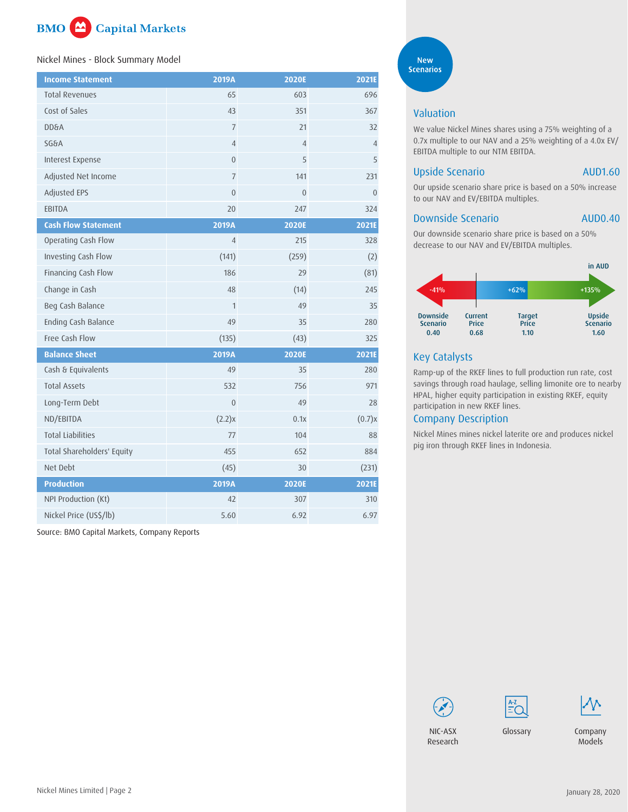

#### Nickel Mines - Block Summary Model

| <b>Income Statement</b>    | 2019A            | 2020E          | 2021E          |
|----------------------------|------------------|----------------|----------------|
| <b>Total Revenues</b>      | 65               | 603            | 696            |
| Cost of Sales              | 43               | 351            | 367            |
| <b>DD&amp;A</b>            | $\overline{7}$   | 21             | 32             |
| <b>SG&amp;A</b>            | $\overline{4}$   | $\overline{4}$ | $\overline{4}$ |
| Interest Expense           | $\boldsymbol{0}$ | 5              | 5              |
| Adjusted Net Income        | $\overline{7}$   | 141            | 231            |
| Adjusted EPS               | $\boldsymbol{0}$ | $\overline{0}$ | $\overline{0}$ |
| EBITDA                     | 20               | 247            | 324            |
| <b>Cash Flow Statement</b> | 2019A            | 2020E          | 2021E          |
| Operating Cash Flow        | $\overline{4}$   | 215            | 328            |
| Investing Cash Flow        | (141)            | (259)          | (2)            |
| Financing Cash Flow        | 186              | 29             | (81)           |
| Change in Cash             | 48               | (14)           | 245            |
| Beg Cash Balance           | $\mathbf{1}$     | 49             | 35             |
| Ending Cash Balance        | 49               | 35             | 280            |
| Free Cash Flow             | (135)            | (43)           | 325            |
| <b>Balance Sheet</b>       | 2019A            | 2020E          | 2021E          |
| Cash & Equivalents         | 49               | 35             | 280            |
| <b>Total Assets</b>        | 532              | 756            | 971            |
| Long-Term Debt             | $\overline{0}$   | 49             | 28             |
| ND/EBITDA                  | (2.2)x           | 0.1x           | (0.7)x         |
| <b>Total Liabilities</b>   | 77               | 104            | 88             |
| Total Shareholders' Equity | 455              | 652            | 884            |
| Net Debt                   | (45)             | 30             | (231)          |
| <b>Production</b>          | 2019A            | 2020E          | 2021E          |
| NPI Production (Kt)        | 42               | 307            | 310            |
| Nickel Price (US\$/lb)     | 5.60             | 6.92           | 6.97           |

Source: BMO Capital Markets, Company Reports

**New Scenarios** 

## Valuation

We value Nickel Mines shares using a 75% weighting of a 0.7x multiple to our NAV and a 25% weighting of a 4.0x EV/ EBITDA multiple to our NTM EBITDA.

## Upside Scenario AUD1.60

Our upside scenario share price is based on a 50% increase to our NAV and EV/EBITDA multiples.

#### Downside Scenario AUD0.40

Our downside scenario share price is based on a 50% decrease to our NAV and EV/EBITDA multiples.



## Key Catalysts

Ramp-up of the RKEF lines to full production run rate, cost savings through road haulage, selling limonite ore to nearby HPAL, higher equity participation in existing RKEF, equity participation in new RKEF lines.

## Company Description

Nickel Mines mines nickel laterite ore and produces nickel pig iron through RKEF lines in Indonesia.







[NIC-ASX](https://research-ca.bmocapitalmarkets.com/Member/Home/nbresearch.aspx?Ticker=NIC=AU) Research

[Glossary](https://research-ca.bmocapitalmarkets.com/documents/9C38BC5D-6EE9-4359-A0FD-43B5B0459AA8.PDF?) C[ompan](https://research-ca.bmocapitalmarkets.com/Member/CNM/ShowModel.aspx?TC=EQ&TK=NIC=AU@CA)y Models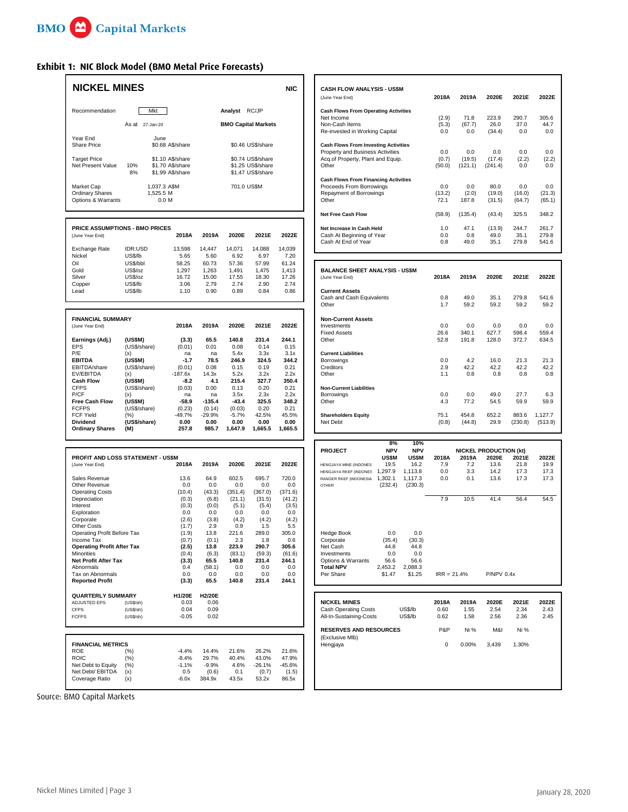Г

## **Exhibit 1: NIC Block Model (BMO Metal Price Forecasts)**

| <b>NICKEL MINES</b>                                        |                         |                                      |                    |                   |                                        | <b>NIC</b>        | <b>CASH FLOW ANALYSIS - US\$M</b><br>(June Year End)                                                                 | 2018A                 | 2019A                 | 2020E                         | 2021E                   |
|------------------------------------------------------------|-------------------------|--------------------------------------|--------------------|-------------------|----------------------------------------|-------------------|----------------------------------------------------------------------------------------------------------------------|-----------------------|-----------------------|-------------------------------|-------------------------|
| Recommendation                                             | Mkt                     |                                      |                    | Analyst RC/JP     |                                        |                   | <b>Cash Flows From Operating Activities</b><br>Net Income                                                            | (2.9)                 | 71.8                  | 223.9                         | 290.7                   |
|                                                            | As at 27-Jan-20         |                                      |                    |                   | <b>BMO Capital Markets</b>             |                   | Non-Cash Items<br>Re-invested in Working Capital                                                                     | (5.3)<br>0.0          | (67.7)<br>0.0         | 26.0<br>(34.4)                | 37.0<br>0.0             |
| Year End<br><b>Share Price</b><br><b>Target Price</b>      | June                    | \$0.68 A\$/share<br>\$1.10 A\$/share |                    |                   | \$0.46 US\$/share<br>\$0.74 US\$/share |                   | <b>Cash Flows From Investing Activities</b><br>Property and Business Activities<br>Acq.of Property, Plant and Equip. | 0.0<br>(0.7)          | 0.0<br>(19.5)         | 0.0<br>(17.4)                 | 0.0<br>(2.2)            |
| Net Present Value                                          | 10%<br>8%               | \$1.70 A\$/share<br>\$1.99 A\$/share |                    |                   | \$1.25 US\$/share<br>\$1.47 US\$/share |                   | Other<br><b>Cash Flows From Financing Activities</b>                                                                 | (50.0)                | (121.1)               | (241.4)                       | 0.0                     |
| Market Cap<br><b>Ordinary Shares</b><br>Options & Warrants | 1,525.5 M               | 1,037.3 A\$M<br>0.0 M                |                    | 701.0 US\$M       |                                        |                   | Proceeds From Borrowings<br>Repayment of Borrowings<br>Other                                                         | 0.0<br>(13.2)<br>72.1 | 0.0<br>(2.0)<br>187.8 | 80.0<br>(19.0)<br>(31.5)      | 0.0<br>(16.0)<br>(64.7) |
|                                                            |                         |                                      |                    |                   |                                        |                   | <b>Net Free Cash Flow</b>                                                                                            | (58.9)                | (135.4)               | (43.4)                        | 325.5                   |
| PRICE ASSUMPTIONS - BMO PRICES<br>(June Year End)          |                         | 2018A                                | 2019A              | 2020E             | 2021E                                  | 2022E             | Net Increase In Cash Held<br>Cash At Beginning of Year<br>Cash At End of Year                                        | 1.0<br>0.0<br>0.8     | 47.1<br>0.8<br>49.0   | (13.9)<br>49.0<br>35.1        | 244.7<br>35.1<br>279.8  |
| Exchange Rate<br>Nickel                                    | IDR:USD<br>US\$/lb      | 13,598<br>5.65                       | 14,447<br>5.60     | 14,071<br>6.92    | 14,088<br>6.97                         | 14,039<br>7.20    |                                                                                                                      |                       |                       |                               |                         |
| Oil<br>Gold                                                | US\$/bbl<br>US\$/oz     | 58.25<br>1,297                       | 60.73<br>1,263     | 57.36<br>1,491    | 57.99<br>1,475                         | 61.24<br>1,413    | <b>BALANCE SHEET ANALYSIS - US\$M</b>                                                                                |                       |                       |                               |                         |
| Silver<br>Copper                                           | US\$/oz<br>US\$/lb      | 16.72<br>3.06                        | 15.00<br>2.79      | 17.55<br>2.74     | 18.30<br>2.90                          | 17.26<br>2.74     | (June Year End)                                                                                                      | 2018A                 | 2019A                 | 2020E                         | 2021E                   |
| Lead                                                       | US\$/lb                 | 1.10                                 | 0.90               | 0.89              | 0.84                                   | 0.86              | <b>Current Assets</b><br>Cash and Cash Equivalents<br>Other                                                          | 0.8<br>1.7            | 49.0<br>59.2          | 35.1<br>59.2                  | 279.8<br>59.2           |
| <b>FINANCIAL SUMMARY</b>                                   |                         |                                      |                    |                   |                                        |                   | <b>Non-Current Assets</b>                                                                                            |                       |                       |                               |                         |
| (June Year End)                                            |                         | 2018A                                | 2019A              | 2020E             | 2021E                                  | 2022E             | Investments<br><b>Fixed Assets</b>                                                                                   | 0.0<br>26.6           | 0.0<br>340.1          | 0.0<br>627.7                  | 0.0<br>598.4            |
| Earnings (Adj.)<br><b>EPS</b>                              | (US\$M)<br>(US\$/share) | (3.3)<br>(0.01)                      | 65.5<br>0.01       | 140.8<br>0.08     | 231.4<br>0.14                          | 244.1<br>0.15     | Other                                                                                                                | 52.8                  | 191.8                 | 128.0                         | 372.7                   |
| P/E<br><b>EBITDA</b>                                       | (x)<br>(US\$M)          | na<br>$-1.7$                         | na<br>78.5         | 5.4x<br>246.9     | 3.3x<br>324.5                          | 3.1x<br>344.2     | <b>Current Liabilities</b><br>Borrowings                                                                             | 0.0                   | 4.2                   | 16.0                          | 21.3                    |
| EBITDA/share                                               | (US\$/share)            | (0.01)                               | 0.08               | 0.15              | 0.19                                   | 0.21              | Creditors                                                                                                            | 2.9                   | 42.2                  | 42.2                          | 42.2                    |
| EV/EBITDA<br><b>Cash Flow</b>                              | (x)<br>(US\$M)          | $-187.6x$<br>$-8.2$                  | 14.3x<br>4.1       | 5.2x<br>215.4     | 3.2x<br>327.7                          | 2.2x<br>350.4     | Other                                                                                                                | 1.1                   | 0.8                   | 0.8                           | 0.8                     |
| <b>CFPS</b>                                                | (US\$/share)            | (0.03)                               | 0.00               | 0.13              | 0.20                                   | 0.21              | <b>Non-Current Liabilities</b>                                                                                       |                       |                       |                               |                         |
| P/CF<br><b>Free Cash Flow</b>                              | (x)<br>(US\$M)          | na<br>-58.9                          | na<br>$-135.4$     | 3.5x<br>$-43.4$   | 2.3x<br>325.5                          | 2.2x<br>348.2     | Borrowings<br>Other                                                                                                  | 0.0<br>4.3            | 0.0<br>77.2           | 49.0<br>54.5                  | 27.7<br>59.9            |
| <b>FCFPS</b><br><b>FCF Yield</b>                           | (US\$/share)<br>(%)     | (0.23)<br>-49.7%                     | (0.14)<br>$-29.9%$ | (0.03)<br>$-5.7%$ | 0.20<br>42.5%                          | 0.21<br>45.5%     | <b>Shareholders Equity</b>                                                                                           | 75.1                  | 454.8                 | 652.2                         | 883.6                   |
| Dividend<br><b>Ordinary Shares</b>                         | (US\$/share)<br>(M)     | 0.00<br>257.8                        | 0.00<br>985.7      | 0.00<br>1,647.9   | 0.00<br>1,665.5                        | 0.00<br>1,665.5   | Net Debt                                                                                                             | (0.8)                 | (44.8)                | 29.9                          | (230.8)                 |
|                                                            |                         |                                      |                    |                   |                                        |                   | 8%<br>10%                                                                                                            |                       |                       |                               |                         |
|                                                            |                         |                                      |                    |                   |                                        |                   | <b>NPV</b><br><b>NPV</b><br><b>PROJECT</b>                                                                           |                       |                       | <b>NICKEL PRODUCTION (kt)</b> |                         |
| PROFIT AND LOSS STATEMENT - US\$M<br>(June Year End)       |                         | 2018A                                | 2019A              | 2020E             | 2021E                                  | 2022E             | US\$M<br>US\$M<br>19.5<br>16.2<br>HENGJAYA MINE (INDONES)                                                            | 2018A<br>7.9          | 2019A<br>7.2          | 2020E<br>13.6                 | 2021E<br>21.8           |
|                                                            |                         | 13.6                                 | 64.9               | 602.5             | 695.7                                  | 720.0             | HENGJAYA RKEF (INDONES 1,297.9<br>1,113.8                                                                            | 0.0<br>0.0            | 3.3<br>0.1            | 14.2<br>13.6                  | 17.3<br>17.3            |
| Sales Revenue<br>Other Revenue                             |                         | 0.0                                  | 0.0                | 0.0               | 0.0                                    | 0.0               | RANGER RKEF (INDONESIA)<br>1,302.1<br>1,117.3<br>(232.4)<br>(230.3)<br><b>OTHER</b>                                  |                       |                       |                               |                         |
| <b>Operating Costs</b><br>Depreciation                     |                         | (10.4)<br>(0.3)                      | (43.3)<br>(6.8)    | (351.4)<br>(21.1) | (367.0)<br>(31.5)                      | (371.6)<br>(41.2) |                                                                                                                      | 7.9                   | 10.5                  | 41.4                          | 56.4                    |
| Interest                                                   |                         | (0.3)                                | (0.0)              | (5.1)             | (5.4)                                  | (3.5)             |                                                                                                                      |                       |                       |                               |                         |
| Exploration<br>Corporate                                   |                         | 0.0<br>(2.6)                         | 0.0<br>(3.8)       | 0.0<br>(4.2)      | 0.0<br>(4.2)                           | 0.0<br>(4.2)      |                                                                                                                      |                       |                       |                               |                         |
| <b>Other Costs</b><br>Operating Profit Before Tax          |                         | (1.7)                                | 2.9<br>13.8        | 0.9<br>221.6      | 1.5<br>289.0                           | 5.5<br>305.0      | 0.0<br>0.0                                                                                                           |                       |                       |                               |                         |
| Income Tax                                                 |                         | (1.9)<br>(0.7)                       | (0.1)              | 2.3               | 1.8                                    | 0.6               | <b>Hedge Book</b><br>(35.4)<br>(30.3)<br>Cornorate                                                                   |                       |                       |                               |                         |
| <b>Operating Profit After Tax</b><br><b>Minorities</b>     |                         | (2.5)<br>(0.4)                       | 13.8<br>(6.3)      | 223.9<br>(83.1)   | 290.7<br>(59.3)                        | 305.6<br>(61.6)   | Net Cash<br>44.8<br>44.8<br>Investments<br>0.0<br>0.0                                                                |                       |                       |                               |                         |
| Net Profit After Tax                                       |                         | (3.3)                                | 65.5               | 140.8             | 231.4                                  | 244.1             | 56.6<br>Options & Warrants<br>56.6                                                                                   |                       |                       |                               |                         |
| Abnormals<br>Tax on Abnormals                              |                         | 0.4<br>0.0                           | (58.1)<br>0.0      | 0.0<br>0.0        | 0.0<br>0.0                             | 0.0<br>0.0        | <b>Total NPV</b><br>2,453.2<br>2,088.3<br>Per Share<br>\$1.47<br>\$1.25                                              | $IRR = 21.4%$         |                       | <b>P/NPV 0.4x</b>             |                         |
| <b>Reported Profit</b>                                     |                         | (3.3)                                | 65.5               | 140.8             | 231.4                                  | 244.1             |                                                                                                                      |                       |                       |                               |                         |
| <b>QUARTERLY SUMMARY</b><br>ADJUSTED EPS                   | (US\$/sh)               | H1/20E<br>0.03                       | H2/20E<br>0.06     |                   |                                        |                   | <b>NICKEL MINES</b>                                                                                                  | 2018A                 | 2019A                 | 2020E                         | 2021E                   |
| <b>CFPS</b>                                                | (US\$/sh)               | 0.04                                 | 0.09               |                   |                                        |                   | <b>Cash Operating Costs</b><br>US\$/lb                                                                               | 0.60                  | 1.55                  | 2.54                          | 2.34                    |
| <b>FCFPS</b>                                               | (US\$/sh)               | $-0.05$                              | 0.02               |                   |                                        |                   | All-In-Sustaining-Costs<br>US\$/lb<br><b>RESERVES AND RESOURCES</b>                                                  | 0.62<br>P&P           | 1.58<br>Ni%           | 2.56<br>M&I                   | 2.36<br>Ni %            |
| <b>FINANCIAL METRICS</b>                                   |                         |                                      |                    |                   |                                        |                   | (Exclusive Mlb)<br>Hengjaya                                                                                          | 0                     | 0.00%                 | 3,439                         | 1.30%                   |
| <b>ROE</b>                                                 | (%)                     | $-4.4%$                              | 14.4%              | 21.6%             | 26.2%                                  | 21.6%             |                                                                                                                      |                       |                       |                               |                         |
| <b>ROIC</b><br>Net Debt to Equity                          | (%)<br>(% )             | $-8.4%$<br>$-1.1%$                   | 29.7%<br>$-9.9%$   | 40.4%<br>4.6%     | 43.0%<br>$-26.1%$                      | 47.9%<br>$-45.6%$ |                                                                                                                      |                       |                       |                               |                         |
| Net Debt/ EBITDA                                           | (x)                     | 0.5                                  | (0.6)              | 0.1               | (0.7)                                  | (1.5)             |                                                                                                                      |                       |                       |                               |                         |
| Coverage Ratio                                             | (x)                     | $-6.0x$                              | 384.9x             | 43.5x             | 53.2x                                  | 86.5x             |                                                                                                                      |                       |                       |                               |                         |

|                                       |         | $\cdot$          |        |        |                            | $\epsilon$        |            |                                             |        |         |         |        |        |
|---------------------------------------|---------|------------------|--------|--------|----------------------------|-------------------|------------|---------------------------------------------|--------|---------|---------|--------|--------|
| <b>NICKEL MINES</b>                   |         |                  |        |        |                            |                   | <b>NIC</b> | <b>CASH FLOW ANALYSIS - US\$M</b>           |        |         |         |        |        |
|                                       |         |                  |        |        |                            |                   |            | (June Year End)                             | 2018A  | 2019A   | 2020E   | 2021E  | 2022E  |
| Recommendation                        |         | Mkt              |        |        | Analyst RC/JP              |                   |            | <b>Cash Flows From Operating Activities</b> |        |         |         |        |        |
|                                       |         |                  |        |        |                            |                   |            | Net Income                                  | (2.9)  | 71.8    | 223.9   | 290.7  | 305.6  |
|                                       |         | As at 27-Jan-20  |        |        | <b>BMO Capital Markets</b> |                   |            | Non-Cash Items                              | (5.3)  | (67.7)  | 26.0    | 37.0   | 44.7   |
|                                       |         |                  |        |        |                            |                   |            | Re-invested in Working Capital              | 0.0    | 0.0     | (34.4)  | 0.0    | 0.0    |
| Year End                              |         | June             |        |        |                            |                   |            |                                             |        |         |         |        |        |
| Share Price                           |         | \$0.68 A\$/share |        |        |                            | \$0.46 US\$/share |            | <b>Cash Flows From Investing Activities</b> |        |         |         |        |        |
|                                       |         |                  |        |        |                            |                   |            | Property and Business Activities            | 0.0    | 0.0     | 0.0     | 0.0    | 0.0    |
| <b>Target Price</b>                   |         | \$1.10 A\$/share |        |        |                            | \$0.74 US\$/share |            | Acq.of Property, Plant and Equip.           | (0.7)  | (19.5)  | (17.4)  | (2.2)  | (2.2)  |
| Net Present Value                     | 10%     | \$1.70 A\$/share |        |        |                            | \$1.25 US\$/share |            | Other                                       | (50.0) | (121.1) | (241.4) | 0.0    | 0.0    |
|                                       | 8%      | \$1.99 A\$/share |        |        |                            | \$1.47 US\$/share |            |                                             |        |         |         |        |        |
|                                       |         |                  |        |        |                            |                   |            | <b>Cash Flows From Financing Activities</b> |        |         |         |        |        |
| Market Cap                            |         | 1,037.3 A\$M     |        |        | 701.0 US\$M                |                   |            | Proceeds From Borrowings                    | 0.0    | 0.0     | 80.0    | 0.0    | 0.0    |
| <b>Ordinary Shares</b>                |         | 1.525.5 M        |        |        |                            |                   |            | Repayment of Borrowings                     | (13.2) | (2.0)   | (19.0)  | (16.0) | (21.3) |
| Options & Warrants                    |         | 0.0 M            |        |        |                            |                   |            | Other                                       | 72.1   | 187.8   | (31.5)  | (64.7) | (65.1) |
|                                       |         |                  |        |        |                            |                   |            |                                             |        |         |         |        |        |
|                                       |         |                  |        |        |                            |                   |            | <b>Net Free Cash Flow</b>                   | (58.9) | (135.4) | (43.4)  | 325.5  | 348.2  |
|                                       |         |                  |        |        |                            |                   |            |                                             |        |         |         |        |        |
| <b>PRICE ASSUMPTIONS - BMO PRICES</b> |         |                  |        |        |                            |                   |            | Net Increase In Cash Held                   | 1.0    | 47.1    | (13.9)  | 244.7  | 261.7  |
| (June Year End)                       |         |                  | 2018A  | 2019A  | 2020E                      | 2021E             | 2022E      | Cash At Beginning of Year                   | 0.0    | 0.8     | 49.0    | 35.1   | 279.8  |
|                                       |         |                  |        |        |                            |                   |            | Cash At End of Year                         | 0.8    | 49.0    | 35.1    | 279.8  | 541.6  |
| Exchange Rate                         | IDR:USD |                  | 13.598 | 14.447 | 14.071                     | 14.088            | 14.039     |                                             |        |         |         |        |        |

| Oil                      | US\$/bbl       | 58.25        | 60.73                   | 57.36          | 57.99                                | 61.24        |                                       |       |        |       |         |         |
|--------------------------|----------------|--------------|-------------------------|----------------|--------------------------------------|--------------|---------------------------------------|-------|--------|-------|---------|---------|
| Gold                     | US\$/oz        | 1,297        | 1,263                   | 1,491          | 1,475                                | 1,413        | <b>BALANCE SHEET ANALYSIS - US\$M</b> |       |        |       |         |         |
| Silver                   | US\$/oz        | 16.72        | 15.00                   | 17.55          | 18.30                                | 17.26        | (June Year End)                       | 2018A | 2019A  | 2020E | 2021E   | 2022E   |
| Copper                   | US\$/lb        | 3.06         | 2.79                    | 2.74           | 2.90                                 | 2.74         |                                       |       |        |       |         |         |
| Lead                     | US\$/lb        | 1.10         | 0.90                    | 0.89           | 0.84                                 | 0.86         | <b>Current Assets</b>                 |       |        |       |         |         |
|                          |                |              |                         |                |                                      |              | Cash and Cash Equivalents             | 0.8   | 49.0   | 35.1  | 279.8   |         |
|                          |                |              |                         |                |                                      |              | Other                                 | 1.7   | 59.2   | 59.2  | 59.2    |         |
| <b>FINANCIAL SUMMARY</b> |                |              |                         |                |                                      |              | <b>Non-Current Assets</b>             |       |        |       |         |         |
| (June Year End)          |                | 2018A        | 2019A                   | 2020E          | 2021E                                | 2022E        | Investments                           | 0.0   | 0.0    | 0.0   | 0.0     |         |
|                          |                |              |                         |                |                                      |              | <b>Fixed Assets</b>                   | 26.6  | 340.1  | 627.7 | 598.4   |         |
| Earnings (Adj.)          | (US\$M)        | (3.3)        | 65.5                    | 140.8          | 231.4                                | 244.1        | Other                                 | 52.8  | 191.8  | 128.0 | 372.7   |         |
| <b>EPS</b>               | (US\$/share)   | (0.01)       | 0.01                    | 0.08           | 0.14                                 | 0.15         |                                       |       |        |       |         |         |
| P/E                      | (x)            | na           | na                      | 5.4x           | 3.3x                                 | 3.1x         | <b>Current Liabilities</b>            |       |        |       |         |         |
| <b>EBITDA</b>            | (US\$M)        | $-1.7$       | 78.5                    | 246.9          | 324.5                                | 344.2        | Borrowings                            | 0.0   | 4.2    | 16.0  | 21.3    |         |
| EBITDA/share             | (US\$/share)   | (0.01)       | 0.08                    | 0.15           | 0.19                                 | 0.21         | Creditors                             | 2.9   | 42.2   | 42.2  | 42.2    |         |
| EV/EBITDA                | (x)            | $-187.6x$    | 14.3x                   | 5.2x           | 3.2x                                 | 2.2x         | Other                                 | 1.1   | 0.8    | 0.8   | 0.8     |         |
| <b>Cash Flow</b>         | (US\$M)        | $-8.2$       | 4.1                     | 215.4          | 327.7                                | 350.4        |                                       |       |        |       |         |         |
| CFPS                     | (US\$/share)   | (0.03)       | 0.00                    | 0.13           | 0.20                                 | 0.21         | <b>Non-Current Liabilities</b>        |       |        |       |         |         |
| P/CF                     | (x)            | na           | na                      | 3.5x           | 2.3x                                 | 2.2x         | Borrowings                            | 0.0   | 0.0    | 49.0  | 27.7    |         |
| Free Cash Flow           | (US\$M)        | $-58.9$      | $-135.4$                | $-43.4$        | 325.5                                | 348.2        | Other                                 | 4.3   | 77.2   | 54.5  | 59.9    |         |
| <b>FCFPS</b>             | (US\$/share)   | (0.23)       | (0.14)                  | (0.03)         | 0.20                                 | 0.21         |                                       |       |        |       |         |         |
| FCF Yield                | (%)            | $-49.7%$     | $-29.9%$                | $-5.7%$        | 42.5%                                | 45.5%        | <b>Shareholders Equity</b>            | 75.1  | 454.8  | 652.2 | 883.6   | 1,127.7 |
| Dividend                 | (US\$/share)   | 0.00         | 0.00                    | 0.00           | 0.00                                 | 0.00         | Net Debt                              | (0.8) | (44.8) | 29.9  | (230.8) |         |
| Ordinary Charge          | $(\mathbf{A})$ | <b>257 0</b> | <b>OOE</b> <sub>7</sub> | <b>4 CAT 0</b> | <b>CCE E</b><br>$\blacktriangleleft$ | <b>CCE E</b> |                                       |       |        |       |         |         |

| 8%<br><b>NPV</b><br><b>NPV</b><br><b>PROJECT</b><br><b>NICKEL PRODUCTION (kt)</b><br>PROFIT AND LOSS STATEMENT - US\$M<br><b>US\$M</b><br><b>US\$M</b><br>2018A<br>2019A<br>2020E<br>2021E<br>2022E<br>2019A<br>2020E<br>2021E<br>19.5<br>16.2<br>21.8<br>2018A<br>7.9<br>7.2<br>13.6<br>HENGJAYA MINE (INDONES)<br>1,297.9<br>1,113.8<br>0.0<br>3.3<br>14.2<br>17.3<br>HENGJAYA RKEF (INDONES<br>720.0<br>64.9<br>602.5<br>695.7<br>1.117.3<br>13.6<br>17.3<br>13.6<br>1,302.1<br>0.0<br>0.1<br>RANGER RKEF (INDONESIA)<br>0.0<br>0.0<br>(232.4)<br>(230.3)<br>0.0<br>0.0<br>0.0<br>OTHER<br>(371.6)<br>(43.3)<br>(10.4)<br>(351.4)<br>(367.0)<br>56.4<br>(41.2)<br>7.9<br>10.5<br>41.4<br>(0.3)<br>(6.8)<br>(21.1)<br>(31.5)<br>(3.5)<br>(0.3)<br>(0.0)<br>(5.1)<br>(5.4)<br>0.0<br>0.0<br>0.0<br>0.0<br>0.0<br>Corporate<br>(4.2)<br>(2.6)<br>(3.8)<br>(4.2)<br>(4.2)<br>5.5<br>2.9<br>(1.7)<br>0.9<br>1.5<br>305.0<br>0.0<br>13.8<br>221.6<br>289.0<br>Hedge Book<br>(1.9)<br>0.0<br>0.6<br>(30.3)<br>(0.7)<br>2.3<br>(35.4)<br>(0.1)<br>1.8<br>Corporate<br>305.6<br>Net Cash<br>223.9<br>44.8<br>44.8<br>(2.5)<br>13.8<br>290.7<br>Minorities<br>(6.3)<br>(61.6)<br>0.0<br>(83.1)<br>(59.3)<br>(0.4)<br>0.0<br>Investments<br>244.1<br>56.6<br>65.5<br>Options & Warrants<br>56.6<br>(3.3)<br>140.8<br>231.4<br><b>Total NPV</b><br>2,453.2<br>2.088.3<br>(58.1)<br>0.0<br>0.4<br>0.0<br>0.0<br>$P/NPV$ 0.4 $x$<br>0.0<br>Per Share<br>0.0<br>0.0<br>0.0<br>\$1.47<br>\$1.25<br>$IRR = 21.4%$<br>0.0<br>65.5<br>244.1<br>(3.3)<br>140.8<br>231.4 |                                   |  |  |  |     |  |  |       |
|--------------------------------------------------------------------------------------------------------------------------------------------------------------------------------------------------------------------------------------------------------------------------------------------------------------------------------------------------------------------------------------------------------------------------------------------------------------------------------------------------------------------------------------------------------------------------------------------------------------------------------------------------------------------------------------------------------------------------------------------------------------------------------------------------------------------------------------------------------------------------------------------------------------------------------------------------------------------------------------------------------------------------------------------------------------------------------------------------------------------------------------------------------------------------------------------------------------------------------------------------------------------------------------------------------------------------------------------------------------------------------------------------------------------------------------------------------------------------------------------------------------------------------------------------------|-----------------------------------|--|--|--|-----|--|--|-------|
|                                                                                                                                                                                                                                                                                                                                                                                                                                                                                                                                                                                                                                                                                                                                                                                                                                                                                                                                                                                                                                                                                                                                                                                                                                                                                                                                                                                                                                                                                                                                                        |                                   |  |  |  | 10% |  |  |       |
|                                                                                                                                                                                                                                                                                                                                                                                                                                                                                                                                                                                                                                                                                                                                                                                                                                                                                                                                                                                                                                                                                                                                                                                                                                                                                                                                                                                                                                                                                                                                                        |                                   |  |  |  |     |  |  |       |
| 19.9<br>17.3<br>17.3<br>54.5                                                                                                                                                                                                                                                                                                                                                                                                                                                                                                                                                                                                                                                                                                                                                                                                                                                                                                                                                                                                                                                                                                                                                                                                                                                                                                                                                                                                                                                                                                                           |                                   |  |  |  |     |  |  | 2022E |
|                                                                                                                                                                                                                                                                                                                                                                                                                                                                                                                                                                                                                                                                                                                                                                                                                                                                                                                                                                                                                                                                                                                                                                                                                                                                                                                                                                                                                                                                                                                                                        | (June Year End)                   |  |  |  |     |  |  |       |
|                                                                                                                                                                                                                                                                                                                                                                                                                                                                                                                                                                                                                                                                                                                                                                                                                                                                                                                                                                                                                                                                                                                                                                                                                                                                                                                                                                                                                                                                                                                                                        |                                   |  |  |  |     |  |  |       |
|                                                                                                                                                                                                                                                                                                                                                                                                                                                                                                                                                                                                                                                                                                                                                                                                                                                                                                                                                                                                                                                                                                                                                                                                                                                                                                                                                                                                                                                                                                                                                        | Sales Revenue                     |  |  |  |     |  |  |       |
|                                                                                                                                                                                                                                                                                                                                                                                                                                                                                                                                                                                                                                                                                                                                                                                                                                                                                                                                                                                                                                                                                                                                                                                                                                                                                                                                                                                                                                                                                                                                                        | Other Revenue                     |  |  |  |     |  |  |       |
|                                                                                                                                                                                                                                                                                                                                                                                                                                                                                                                                                                                                                                                                                                                                                                                                                                                                                                                                                                                                                                                                                                                                                                                                                                                                                                                                                                                                                                                                                                                                                        | <b>Operating Costs</b>            |  |  |  |     |  |  |       |
|                                                                                                                                                                                                                                                                                                                                                                                                                                                                                                                                                                                                                                                                                                                                                                                                                                                                                                                                                                                                                                                                                                                                                                                                                                                                                                                                                                                                                                                                                                                                                        | Depreciation                      |  |  |  |     |  |  |       |
|                                                                                                                                                                                                                                                                                                                                                                                                                                                                                                                                                                                                                                                                                                                                                                                                                                                                                                                                                                                                                                                                                                                                                                                                                                                                                                                                                                                                                                                                                                                                                        | Interest                          |  |  |  |     |  |  |       |
|                                                                                                                                                                                                                                                                                                                                                                                                                                                                                                                                                                                                                                                                                                                                                                                                                                                                                                                                                                                                                                                                                                                                                                                                                                                                                                                                                                                                                                                                                                                                                        | Exploration                       |  |  |  |     |  |  |       |
|                                                                                                                                                                                                                                                                                                                                                                                                                                                                                                                                                                                                                                                                                                                                                                                                                                                                                                                                                                                                                                                                                                                                                                                                                                                                                                                                                                                                                                                                                                                                                        |                                   |  |  |  |     |  |  |       |
|                                                                                                                                                                                                                                                                                                                                                                                                                                                                                                                                                                                                                                                                                                                                                                                                                                                                                                                                                                                                                                                                                                                                                                                                                                                                                                                                                                                                                                                                                                                                                        | Other Costs                       |  |  |  |     |  |  |       |
|                                                                                                                                                                                                                                                                                                                                                                                                                                                                                                                                                                                                                                                                                                                                                                                                                                                                                                                                                                                                                                                                                                                                                                                                                                                                                                                                                                                                                                                                                                                                                        | Operating Profit Before Tax       |  |  |  |     |  |  |       |
|                                                                                                                                                                                                                                                                                                                                                                                                                                                                                                                                                                                                                                                                                                                                                                                                                                                                                                                                                                                                                                                                                                                                                                                                                                                                                                                                                                                                                                                                                                                                                        | Income Tax                        |  |  |  |     |  |  |       |
|                                                                                                                                                                                                                                                                                                                                                                                                                                                                                                                                                                                                                                                                                                                                                                                                                                                                                                                                                                                                                                                                                                                                                                                                                                                                                                                                                                                                                                                                                                                                                        | <b>Operating Profit After Tax</b> |  |  |  |     |  |  |       |
|                                                                                                                                                                                                                                                                                                                                                                                                                                                                                                                                                                                                                                                                                                                                                                                                                                                                                                                                                                                                                                                                                                                                                                                                                                                                                                                                                                                                                                                                                                                                                        |                                   |  |  |  |     |  |  |       |
|                                                                                                                                                                                                                                                                                                                                                                                                                                                                                                                                                                                                                                                                                                                                                                                                                                                                                                                                                                                                                                                                                                                                                                                                                                                                                                                                                                                                                                                                                                                                                        | Net Profit After Tax              |  |  |  |     |  |  |       |
|                                                                                                                                                                                                                                                                                                                                                                                                                                                                                                                                                                                                                                                                                                                                                                                                                                                                                                                                                                                                                                                                                                                                                                                                                                                                                                                                                                                                                                                                                                                                                        | Abnormals                         |  |  |  |     |  |  |       |
|                                                                                                                                                                                                                                                                                                                                                                                                                                                                                                                                                                                                                                                                                                                                                                                                                                                                                                                                                                                                                                                                                                                                                                                                                                                                                                                                                                                                                                                                                                                                                        | Tax on Abnormals                  |  |  |  |     |  |  |       |
|                                                                                                                                                                                                                                                                                                                                                                                                                                                                                                                                                                                                                                                                                                                                                                                                                                                                                                                                                                                                                                                                                                                                                                                                                                                                                                                                                                                                                                                                                                                                                        | <b>Reported Profit</b>            |  |  |  |     |  |  |       |

| <b>QUARTERLY SUMMARY</b> |           | <b>H1/20E</b> | <b>H2/20E</b> |               |          |          |                               |         |       |       |       |       |       |
|--------------------------|-----------|---------------|---------------|---------------|----------|----------|-------------------------------|---------|-------|-------|-------|-------|-------|
| ADJUSTED EPS             | (US\$/sh) | 0.03          | 0.06          |               |          |          | <b>NICKEL MINES</b>           |         | 2018A | 2019A | 2020E | 2021E | 2022E |
| <b>CFPS</b>              | (US\$/sh) | 0.04          | 0.09          |               |          |          | <b>Cash Operating Costs</b>   | US\$/lb | 0.60  | 1.55  | 2.54  | 2.34  | 2.43  |
| <b>FCFPS</b>             | (US\$/sh) | $-0.05$       | 0.02          |               |          |          | All-In-Sustaining-Costs       | US\$/lb | 0.62  | 1.58  | 2.56  | 2.36  | 2.45  |
|                          |           |               |               |               |          |          | <b>RESERVES AND RESOURCES</b> |         | P&P   | Ni %  | M&I   | Ni %  |       |
|                          |           |               |               |               |          |          | (Exclusive Mlb)               |         |       |       |       |       |       |
| <b>FINANCIAL METRICS</b> |           |               |               |               |          |          | Hengjaya                      |         |       | 0.00% | 3.439 | .30%  |       |
| ROE                      | (%)       | $-4.4%$       | 14.4%         | 21.6%         | 26.2%    | 21.6%    |                               |         |       |       |       |       |       |
| <b>ROIC</b>              | (%)       | $-8.4%$       | 29.7%         | 40.4%         | 43.0%    | 47.9%    |                               |         |       |       |       |       |       |
| Net Debt to Eauity       | (%)       | $-1.1%$       | $-9.9%$       | 4.6%          | $-26.1%$ | $-45.6%$ |                               |         |       |       |       |       |       |
| $\mathbf{A}$             | $\sim$    | $\sim$ $\sim$ | (0, 0)        | $\sim$ $\sim$ | (0, 7)   | (4.5)    |                               |         |       |       |       |       |       |

Source: BMO Capital Markets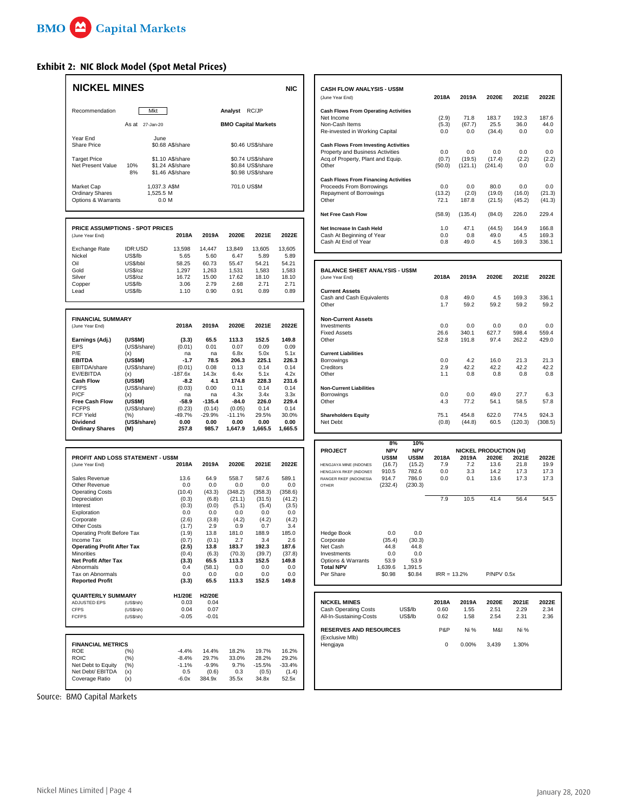## **Exhibit 2: NIC Block Model (Spot Metal Prices)**

| <b>NICKEL MINES</b>                                        |                                |                                                          |                         |                         |                                                             | <b>NIC</b>              | CASH FLOW ANALYSIS - US\$M<br>(June Year End)                                                               | 2018A                 | 2019A                 | 2020E                         | 2021E                   |
|------------------------------------------------------------|--------------------------------|----------------------------------------------------------|-------------------------|-------------------------|-------------------------------------------------------------|-------------------------|-------------------------------------------------------------------------------------------------------------|-----------------------|-----------------------|-------------------------------|-------------------------|
| Recommendation                                             | Mkt                            |                                                          |                         | Analyst RC/JP           |                                                             |                         | <b>Cash Flows From Operating Activities</b><br>Net Income                                                   |                       | 71.8                  | 183.7                         | 192.3                   |
|                                                            | As at 27-Jan-20                |                                                          |                         |                         | <b>BMO Capital Markets</b>                                  |                         | Non-Cash Items<br>Re-invested in Working Capital                                                            | (2.9)<br>(5.3)<br>0.0 | (67.7)<br>0.0         | 25.5<br>(34.4)                | 36.0<br>0.0             |
| Year End<br><b>Share Price</b>                             |                                | June<br>\$0.68 A\$/share                                 |                         |                         | \$0.46 US\$/share                                           |                         | <b>Cash Flows From Investing Activities</b><br>Property and Business Activities                             | 0.0                   | 0.0                   | 0.0                           | 0.0                     |
| <b>Target Price</b><br>Net Present Value                   | 10%<br>8%                      | \$1.10 A\$/share<br>\$1.24 A\$/share<br>\$1.46 A\$/share |                         |                         | \$0.74 US\$/share<br>\$0.84 US\$/share<br>\$0.98 US\$/share |                         | Acq.of Property, Plant and Equip.<br>Other                                                                  | (0.7)<br>(50.0)       | (19.5)<br>(121.1)     | (17.4)<br>(241.4)             | (2.2)<br>0.0            |
| Market Cap<br><b>Ordinary Shares</b><br>Options & Warrants |                                | 1,037.3 A\$M<br>1,525.5 M<br>0.0 M                       |                         | 701.0 US\$M             |                                                             |                         | <b>Cash Flows From Financing Activities</b><br>Proceeds From Borrowings<br>Repayment of Borrowings<br>Other | 0.0<br>(13.2)<br>72.1 | 0.0<br>(2.0)<br>187.8 | 80.0<br>(19.0)<br>(21.5)      | 0.0<br>(16.0)<br>(45.2) |
|                                                            |                                |                                                          |                         |                         |                                                             |                         | Net Free Cash Flow                                                                                          | (58.9)                | (135.4)               | (84.0)                        | 226.0                   |
| <b>PRICE ASSUMPTIONS - SPOT PRICES</b><br>(June Year End)  |                                | 2018A                                                    | 2019A                   | 2020E                   | 2021E                                                       | 2022E                   | Net Increase In Cash Held<br>Cash At Beginning of Year<br>Cash At End of Year                               | 1.0<br>0.0<br>0.8     | 47.1<br>0.8<br>49.0   | (44.5)<br>49.0<br>4.5         | 164.9<br>4.5<br>169.3   |
| Exchange Rate<br>Nickel                                    | IDR:USD<br>US\$/lb             | 13,598<br>5.65                                           | 14,447<br>5.60          | 13,849<br>6.47          | 13,605<br>5.89                                              | 13,605<br>5.89          |                                                                                                             |                       |                       |                               |                         |
| Oil<br>Gold<br>Silver                                      | US\$/bbl<br>US\$/oz<br>US\$/oz | 58.25<br>1,297<br>16.72                                  | 60.73<br>1,263<br>15.00 | 55.47<br>1,531<br>17.62 | 54.21<br>1,583<br>18.10                                     | 54.21<br>1,583<br>18.10 | <b>BALANCE SHEET ANALYSIS - US\$M</b><br>(June Year End)                                                    | 2018A                 | 2019A                 | 2020E                         | 2021E                   |
| Copper<br>Lead                                             | US\$/lb<br>US\$/lb             | 3.06<br>1.10                                             | 2.79<br>0.90            | 2.68<br>0.91            | 2.71<br>0.89                                                | 2.71<br>0.89            | <b>Current Assets</b><br>Cash and Cash Equivalents                                                          | 0.8                   | 49.0                  | 4.5                           | 169.3                   |
|                                                            |                                |                                                          |                         |                         |                                                             |                         | Other                                                                                                       | 1.7                   | 59.2                  | 59.2                          | 59.2                    |
| <b>FINANCIAL SUMMARY</b>                                   |                                | 2018A                                                    | 2019A                   | 2020E                   | 2021E                                                       | 2022E                   | <b>Non-Current Assets</b><br>Investments                                                                    | 0.0                   | 0.0                   | 0.0                           | 0.0                     |
| (June Year End)                                            |                                |                                                          |                         |                         |                                                             |                         | <b>Fixed Assets</b>                                                                                         | 26.6                  | 340.1                 | 627.7                         | 598.4                   |
| Earnings (Adj.)<br><b>EPS</b>                              | (US\$M)<br>(US\$/share)        | (3.3)<br>(0.01)                                          | 65.5<br>0.01            | 113.3<br>0.07           | 152.5<br>0.09                                               | 149.8<br>0.09           | Other                                                                                                       | 52.8                  | 191.8                 | 97.4                          | 262.2                   |
| P/E<br><b>EBITDA</b>                                       | (x)<br>(US\$M)                 | na<br>$-1.7$                                             | na<br>78.5              | 6.8x<br>206.3           | 5.0x<br>225.1                                               | 5.1x<br>226.3           | <b>Current Liabilities</b><br>Borrowings                                                                    | 0.0                   | 4.2                   | 16.0                          | 21.3                    |
| EBITDA/share                                               | (US\$/share)                   | (0.01)                                                   | 0.08                    | 0.13                    | 0.14                                                        | 0.14                    | Creditors                                                                                                   | 2.9                   | 42.2                  | 42.2                          | 42.2                    |
| EV/EBITDA<br><b>Cash Flow</b>                              | (x)<br>(US\$M)                 | $-187.6x$<br>$-8.2$                                      | 14.3x<br>4.1            | 6.4x<br>174.8           | 5.1x<br>228.3                                               | 4.2x<br>231.6           | Other                                                                                                       | 1.1                   | 0.8                   | 0.8                           | 0.8                     |
| <b>CFPS</b><br>P/CF                                        | (US\$/share)                   | (0.03)                                                   | 0.00                    | 0.11                    | 0.14                                                        | 0.14                    | <b>Non-Current Liabilities</b>                                                                              |                       | 0.0                   | 49.0                          |                         |
| <b>Free Cash Flow</b>                                      | (x)<br>(US\$M)                 | na<br>$-58.9$                                            | na<br>$-135.4$          | 4.3x<br>$-84.0$         | 3.4x<br>226.0                                               | 3.3x<br>229.4           | Borrowings<br>Other                                                                                         | 0.0<br>4.3            | 77.2                  | 54.1                          | 27.7<br>58.5            |
| <b>FCFPS</b><br><b>FCF Yield</b>                           | (US\$/share)                   | (0.23)<br>-49.7%                                         | (0.14)<br>-29.9%        | (0.05)                  | 0.14<br>29.5%                                               | 0.14<br>30.0%           |                                                                                                             | 75.1                  | 454.8                 | 622.0                         | 774.5                   |
| Dividend                                                   | (%)<br>(US\$/share)            | 0.00                                                     | 0.00                    | -11.1%<br>0.00          | 0.00                                                        | 0.00                    | <b>Shareholders Equity</b><br>Net Debt                                                                      | (0.8)                 | (44.8)                | 60.5                          | (120.3)                 |
| <b>Ordinary Shares</b>                                     | (M)                            | 257.8                                                    | 985.7                   | 1,647.9                 | 1,665.5                                                     | 1,665.5                 |                                                                                                             |                       |                       |                               |                         |
|                                                            |                                |                                                          |                         |                         |                                                             |                         | 8%<br><b>NPV</b><br><b>PROJECT</b>                                                                          | 10%<br><b>NPV</b>     |                       | <b>NICKEL PRODUCTION (kt)</b> |                         |
| PROFIT AND LOSS STATEMENT - US\$M                          |                                |                                                          |                         |                         |                                                             |                         | <b>US\$M</b><br><b>US\$M</b>                                                                                | 2018A                 | 2019A                 | 2020E                         | 2021E                   |
| (June Year End)                                            |                                | 2018A                                                    | 2019A                   | 2020E                   | 2021E                                                       | 2022E                   | (15.2)<br>(16.7)<br>HENGJAYA MINE (INDONES)<br>910.5<br>782.6<br>HENGJAYA RKEF (INDONES                     | 7.9<br>0.0            | 7.2<br>3.3            | 13.6<br>14.2                  | 21.8<br>17.3            |
| Sales Revenue                                              |                                | 13.6                                                     | 64.9                    | 558.7                   | 587.6                                                       | 589.1                   | 786.0<br>914.7<br>RANGER RKEF (INDONESIA)                                                                   | 0.0                   | 0.1                   | 13.6                          | 17.3                    |
| Other Revenue<br><b>Operating Costs</b>                    |                                | 0.0<br>(10.4)                                            | 0.0<br>(43.3)           | 0.0<br>(348.2)          | 0.0<br>(358.3)                                              | 0.0<br>(358.6)          | (232.4)<br>(230.3)<br><b>OTHER</b>                                                                          |                       |                       |                               |                         |
| Depreciation                                               |                                | (0.3)                                                    | (6.8)                   | (21.1)                  | (31.5)                                                      | (41.2)                  |                                                                                                             | 7.9                   | 10.5                  | 41.4                          | 56.4                    |
| Interest<br>Exploration                                    |                                | (0.3)<br>0.0                                             | (0.0)<br>0.0            | (5.1)<br>0.0            | (5.4)<br>0.0                                                | (3.5)<br>0.0            |                                                                                                             |                       |                       |                               |                         |
| Corporate                                                  |                                | (2.6)                                                    | (3.8)                   | (4.2)                   | (4.2)                                                       | (4.2)                   |                                                                                                             |                       |                       |                               |                         |
| <b>Other Costs</b><br>Operating Profit Before Tax          |                                | (1.7)<br>(1.9)                                           | 2.9<br>13.8             | 0.9<br>181.0            | 0.7<br>188.9                                                | 3.4<br>185.0            | <b>Hedge Book</b><br>0.0                                                                                    | 0.0                   |                       |                               |                         |
| Income Tax                                                 |                                | (0.7)                                                    | (0.1)                   | 2.7                     | 3.4                                                         | 2.6                     | (30.3)<br>(35.4)<br>Corporate                                                                               |                       |                       |                               |                         |
| <b>Operating Profit After Tax</b><br>Minorities            |                                | (2.5)<br>(0.4)                                           | 13.8<br>(6.3)           | 183.7<br>(70.3)         | 192.3<br>(39.7)                                             | 187.6<br>(37.8)         | Net Cash<br>44.8<br>44.8<br>Investments<br>0.0<br>0.0                                                       |                       |                       |                               |                         |
| Net Profit After Tax                                       |                                | (3.3)                                                    | 65.5                    | 113.3                   | 152.5                                                       | 149.8                   | 53.9<br>Options & Warrants<br>53.9                                                                          |                       |                       |                               |                         |
| Abnormals<br>Tax on Abnormals                              |                                | 0.4<br>0.0                                               | (58.1)<br>0.0           | 0.0<br>0.0              | 0.0<br>0.0                                                  | 0.0<br>0.0              | <b>Total NPV</b><br>1,639.6<br>1,391.5<br>Per Share<br>\$0.98<br>\$0.84                                     | $IRR = 13.2%$         |                       | <b>P/NPV 0.5x</b>             |                         |
| <b>Reported Profit</b>                                     |                                | (3.3)                                                    | 65.5                    | 113.3                   | 152.5                                                       | 149.8                   |                                                                                                             |                       |                       |                               |                         |
| <b>QUARTERLY SUMMARY</b>                                   |                                | H1/20E                                                   | H2/20E                  |                         |                                                             |                         |                                                                                                             |                       |                       |                               |                         |
| ADJUSTED EPS<br><b>CFPS</b>                                | (US\$/sh)<br>(US\$/sh)         | 0.03<br>0.04                                             | 0.04<br>0.07            |                         |                                                             |                         | <b>NICKEL MINES</b><br><b>Cash Operating Costs</b><br>US\$/lb                                               | 2018A<br>0.60         | 2019A<br>1.55         | 2020E<br>2.51                 | 2021E<br>2.29           |
| <b>FCFPS</b>                                               | (US\$/sh)                      | $-0.05$                                                  | $-0.01$                 |                         |                                                             |                         | All-In-Sustaining-Costs<br>US\$/lb                                                                          | 0.62                  | 1.58                  | 2.54                          | 2.31                    |
|                                                            |                                |                                                          |                         |                         |                                                             |                         | <b>RESERVES AND RESOURCES</b><br>(Exclusive Mlb)                                                            | P&P                   | Ni %                  | M&I                           | Ni %                    |
| <b>FINANCIAL METRICS</b><br>ROE                            | (%)                            | $-4.4%$                                                  | 14.4%                   | 18.2%                   | 19.7%                                                       | 16.2%                   | Hengjaya                                                                                                    | 0                     | 0.00%                 | 3,439                         | 1.30%                   |
| <b>ROIC</b>                                                | (%)                            | $-8.4%$                                                  | 29.7%                   | 33.0%                   | 28.2%                                                       | 29.2%                   |                                                                                                             |                       |                       |                               |                         |
| Net Debt to Equity<br>Net Debt/ EBITDA                     | (%)<br>(x)                     | $-1.1%$<br>0.5                                           | $-9.9%$<br>(0.6)        | 9.7%<br>0.3             | $-15.5%$<br>(0.5)                                           | $-33.4%$<br>(1.4)       |                                                                                                             |                       |                       |                               |                         |
| Coverage Ratio                                             | (x)                            | $-6.0x$                                                  | 384.9x                  | 35.5x                   | 34.8x                                                       | 52.5x                   |                                                                                                             |                       |                       |                               |                         |
|                                                            |                                |                                                          |                         |                         |                                                             |                         |                                                                                                             |                       |                       |                               |                         |

| <b>NICKEL MINES</b>                    |            |                  |       |        |               |                            | <b>NIC</b> | <b>CASH FLOW ANALYSIS - US\$M</b>           |        |         |         |        |        |
|----------------------------------------|------------|------------------|-------|--------|---------------|----------------------------|------------|---------------------------------------------|--------|---------|---------|--------|--------|
|                                        |            |                  |       |        |               |                            |            | (June Year End)                             | 2018A  | 2019A   | 2020E   | 2021E  | 2022E  |
| Recommendation                         |            | <b>Mkt</b>       |       |        | Analyst RC/JP |                            |            | <b>Cash Flows From Operating Activities</b> |        |         |         |        |        |
|                                        |            |                  |       |        |               |                            |            | Net Income                                  | (2.9)  | 71.8    | 183.7   | 192.3  | 187.6  |
|                                        |            | As at 27-Jan-20  |       |        |               | <b>BMO Capital Markets</b> |            | Non-Cash Items                              | (5.3)  | (67.7)  | 25.5    | 36.0   | 44.0   |
|                                        |            |                  |       |        |               |                            |            | Re-invested in Working Capital              | 0.0    | 0.0     | (34.4)  | 0.0    | 0.0    |
| Year End                               |            | June             |       |        |               |                            |            |                                             |        |         |         |        |        |
| <b>Share Price</b>                     |            | \$0.68 A\$/share |       |        |               | \$0.46 US\$/share          |            | <b>Cash Flows From Investing Activities</b> |        |         |         |        |        |
|                                        |            |                  |       |        |               |                            |            | Property and Business Activities            | 0.0    | 0.0     | 0.0     | 0.0    | 0.0    |
| <b>Target Price</b>                    |            | \$1.10 A\$/share |       |        |               | \$0.74 US\$/share          |            | Acq.of Property, Plant and Equip.           | (0.7)  | (19.5)  | (17.4)  | (2.2)  | (2.2)  |
| Net Present Value                      | 10%        | \$1.24 A\$/share |       |        |               | \$0.84 US\$/share          |            | Other                                       | (50.0) | (121.1) | (241.4) | 0.0    | 0.0    |
|                                        | 8%         | \$1.46 A\$/share |       |        |               | \$0.98 US\$/share          |            |                                             |        |         |         |        |        |
|                                        |            |                  |       |        |               |                            |            | <b>Cash Flows From Financing Activities</b> |        |         |         |        |        |
| Market Cap                             |            | 1,037.3 A\$M     |       |        | 701.0 US\$M   |                            |            | Proceeds From Borrowings                    | 0.0    | 0.0     | 80.0    | 0.0    | 0.0    |
| <b>Ordinary Shares</b>                 |            | 1,525.5 M        |       |        |               |                            |            | Repayment of Borrowings                     | (13.2) | (2.0)   | (19.0)  | (16.0) | (21.3) |
| Options & Warrants                     |            | 0.0 M            |       |        |               |                            |            | Other                                       | 72.1   | 187.8   | (21.5)  | (45.2) | (41.3) |
|                                        |            |                  |       |        |               |                            |            | <b>Net Free Cash Flow</b>                   | (58.9) | (135.4) | (84.0)  | 226.0  | 229.4  |
| <b>PRICE ASSUMPTIONS - SPOT PRICES</b> |            |                  |       |        |               |                            |            | Net Increase In Cash Held                   | 1.0    | 47.1    | (44.5)  | 164.9  | 166.8  |
| (June Year End)                        |            |                  | 2018A | 2019A  | 2020E         | 2021E                      | 2022E      | Cash At Beginning of Year                   | 0.0    | 0.8     | 49.0    | 4.5    | 169.3  |
|                                        |            |                  |       |        |               |                            |            | Cash At End of Year                         | 0.8    | 49.0    | 4.5     | 169.3  | 336.1  |
| Exchange Rate                          | $IR + ISD$ |                  | 13598 | 14 447 | 13.849        | 13.605                     | 13.605     |                                             |        |         |         |        |        |

| Oil                      | US\$/bbl     | 58.25        | 60.73    | 55.47    | 54.21 | 54.21 |                                       |       |        |       |         |         |
|--------------------------|--------------|--------------|----------|----------|-------|-------|---------------------------------------|-------|--------|-------|---------|---------|
| Gold                     | US\$/oz      | 1,297        | 1,263    | 1,531    | 1,583 | 1,583 | <b>BALANCE SHEET ANALYSIS - US\$M</b> |       |        |       |         |         |
| Silver                   | US\$/oz      | 16.72        | 15.00    | 17.62    | 18.10 | 18.10 | (June Year End)                       | 2018A | 2019A  | 2020E | 2021E   | 2022E   |
| Copper                   | US\$/lb      | 3.06         | 2.79     | 2.68     | 2.71  | 2.71  |                                       |       |        |       |         |         |
| Lead                     | US\$/lb      | 1.10         | 0.90     | 0.91     | 0.89  | 0.89  | <b>Current Assets</b>                 |       |        |       |         |         |
|                          |              |              |          |          |       |       | Cash and Cash Equivalents             | 0.8   | 49.0   | 4.5   | 169.3   | 336.1   |
|                          |              |              |          |          |       |       | Other                                 | 1.7   | 59.2   | 59.2  | 59.2    | 59.2    |
| <b>FINANCIAL SUMMARY</b> |              |              |          |          |       |       | <b>Non-Current Assets</b>             |       |        |       |         |         |
| (June Year End)          |              | 2018A        | 2019A    | 2020E    | 2021E | 2022E | Investments                           | 0.0   | 0.0    | 0.0   | 0.0     | 0.0     |
|                          |              |              |          |          |       |       | <b>Fixed Assets</b>                   | 26.6  | 340.1  | 627.7 | 598.4   | 559.4   |
| Earnings (Adj.)          | (USSM)       | (3.3)        | 65.5     | 113.3    | 152.5 | 149.8 | Other                                 | 52.8  | 191.8  | 97.4  | 262.2   | 429.0   |
| EPS                      | (US\$/share) | (0.01)       | 0.01     | 0.07     | 0.09  | 0.09  |                                       |       |        |       |         |         |
| P/E                      | (x)          | na           | na       | 6.8x     | 5.0x  | 5.1x  | <b>Current Liabilities</b>            |       |        |       |         |         |
| <b>EBITDA</b>            | (US\$M)      | $-1.7$       | 78.5     | 206.3    | 225.1 | 226.3 | Borrowings                            | 0.0   | 4.2    | 16.0  | 21.3    | 21.3    |
| EBITDA/share             | (US\$/share) | (0.01)       | 0.08     | 0.13     | 0.14  | 0.14  | Creditors                             | 2.9   | 42.2   | 42.2  | 42.2    | 42.2    |
| EV/EBITDA                | (x)          | $-187.6x$    | 14.3x    | 6.4x     | 5.1x  | 4.2x  | Other                                 | 1.1   | 0.8    | 0.8   | 0.8     | 0.8     |
| <b>Cash Flow</b>         | (US\$M)      | $-8.2$       | 4.1      | 174.8    | 228.3 | 231.6 |                                       |       |        |       |         |         |
| CFPS                     | (US\$/share) | (0.03)       | 0.00     | 0.11     | 0.14  | 0.14  | <b>Non-Current Liabilities</b>        |       |        |       |         |         |
| P/CF                     | (x)          | na           | na       | 4.3x     | 3.4x  | 3.3x  | Borrowings                            | 0.0   | 0.0    | 49.0  | 27.7    | 6.3     |
| <b>Free Cash Flow</b>    | (US\$M)      | $-58.9$      | $-135.4$ | $-84.0$  | 226.0 | 229.4 | Other                                 | 4.3   | 77.2   | 54.1  | 58.5    | 57.8    |
| <b>FCFPS</b>             | (US\$/share) | (0.23)       | (0.14)   | (0.05)   | 0.14  | 0.14  |                                       |       |        |       |         |         |
| FCF Yield                | (%)          | $-49.7%$     | $-29.9%$ | $-11.1%$ | 29.5% | 30.0% | <b>Shareholders Equity</b>            | 75.1  | 454.8  | 622.0 | 774.5   | 924.3   |
| Dividend                 | (US\$/share) | 0.00         | 0.00     | 0.00     | 0.00  | 0.00  | Net Debt                              | (0.8) | (44.8) | 60.5  | (120.3) | (308.5) |
| Ordinary Shares          | (M)          | <b>257 8</b> | 9857     | 16479    | 16655 | 665.5 |                                       |       |        |       |         |         |

|                                          |        |              |              |         |         |                         | 8%         | 10%        |               |                               |                 |      |      |
|------------------------------------------|--------|--------------|--------------|---------|---------|-------------------------|------------|------------|---------------|-------------------------------|-----------------|------|------|
|                                          |        |              |              |         |         | <b>PROJECT</b>          | <b>NPV</b> | <b>NPV</b> |               | <b>NICKEL PRODUCTION (kt)</b> |                 |      |      |
| <b>PROFIT AND LOSS STATEMENT - US\$M</b> |        | <b>US\$M</b> | <b>US\$M</b> | 2018A   | 2019A   | 2020E                   | 2021E      | 2022E      |               |                               |                 |      |      |
| (June Year End)                          | 2018A  | 2019A        | 2020E        | 2021E   | 2022E   | HENGJAYA MINE (INDONES) | (16.7)     | (15.2)     | 7.9           | 7.2                           | 13.6            | 21.8 | 19.9 |
|                                          |        |              |              |         |         | HENGJAYA RKEF (INDONES  | 910.5      | 782.6      | 0.0           | 3.3                           | 14.2            | 17.3 | 17.3 |
| Sales Revenue                            | 13.6   | 64.9         | 558.7        | 587.6   | 589.1   | RANGER RKEF (INDONESIA) | 914.7      | 786.0      | 0.0           | 0.1                           | 13.6            | 17.3 | 17.3 |
| Other Revenue                            | 0.0    | 0.0          | 0.0          | 0.0     | 0.0     | OTHER                   | (232.4)    | (230.3)    |               |                               |                 |      |      |
| <b>Operating Costs</b>                   | (10.4) | (43.3)       | (348.2)      | (358.3) | (358.6) |                         |            |            |               |                               |                 |      |      |
| Depreciation                             | (0.3)  | (6.8)        | (21.1)       | (31.5)  | (41.2)  |                         |            |            | 7.9           | 10.5                          | 41.4            | 56.4 | 54.5 |
| Interest                                 | (0.3)  | (0.0)        | (5.1)        | (5.4)   | (3.5)   |                         |            |            |               |                               |                 |      |      |
| Exploration                              | 0.0    | 0.0          | 0.0          | 0.0     | 0.0     |                         |            |            |               |                               |                 |      |      |
| Corporate                                | (2.6)  | (3.8)        | (4.2)        | (4.2)   | (4.2)   |                         |            |            |               |                               |                 |      |      |
| Other Costs                              | (1.7)  | 2.9          | 0.9          | 0.7     | 3.4     |                         |            |            |               |                               |                 |      |      |
| Operating Profit Before Tax              | (1.9)  | 13.8         | 181.0        | 188.9   | 185.0   | Hedge Book              | 0.0        | 0.0        |               |                               |                 |      |      |
| Income Tax                               | (0.7)  | (0.1)        | 2.7          | 3.4     | 2.6     | Corporate               | (35.4)     | (30.3)     |               |                               |                 |      |      |
| <b>Operating Profit After Tax</b>        | (2.5)  | 13.8         | 183.7        | 192.3   | 187.6   | Net Cash                | 44.8       | 44.8       |               |                               |                 |      |      |
| Minorities                               | (0.4)  | (6.3)        | (70.3)       | (39.7)  | (37.8)  | Investments             | 0.0        | 0.0        |               |                               |                 |      |      |
| Net Profit After Tax                     | (3.3)  | 65.5         | 113.3        | 152.5   | 149.8   | Options & Warrants      | 53.9       | 53.9       |               |                               |                 |      |      |
| Abnormals                                | 0.4    | (58.1)       | 0.0          | 0.0     | 0.0     | <b>Total NPV</b>        | 1,639.6    | 1.391.5    |               |                               |                 |      |      |
| Tax on Abnormals                         | 0.0    | 0.0          | 0.0          | 0.0     | 0.0     | Per Share               | \$0.98     | \$0.84     | $IRR = 13.2%$ |                               | $P/NPV$ 0.5 $x$ |      |      |
| <b>Reported Profit</b>                   | (3.3)  | 65.5         | 113.3        | 152.5   | 149.8   |                         |            |            |               |                               |                 |      |      |

| <b>QUARTERLY SUMMARY</b> |           | <b>H1/20E</b>    | <b>H2/20E</b> |        |          |              |                               |         |       |       |       |       |       |
|--------------------------|-----------|------------------|---------------|--------|----------|--------------|-------------------------------|---------|-------|-------|-------|-------|-------|
| ADJUSTED EPS             | (US\$/sh) | 0.03             | 0.04          |        |          |              | <b>NICKEL MINES</b>           |         | 2018A | 2019A | 2020E | 2021E | 2022E |
| <b>CFPS</b>              | (US\$/sh) | 0.04             | 0.07          |        |          |              | <b>Cash Operating Costs</b>   | US\$/lb | 0.60  | 55، ا | 2.51  | 2.29  | 2.34  |
| <b>FCFPS</b>             | (US\$/sh) | $-0.05$          | $-0.01$       |        |          |              | All-In-Sustaining-Costs       | US\$/lb | 0.62  | 1.58  | 2.54  | 2.31  | 2.36  |
|                          |           |                  |               |        |          |              | <b>RESERVES AND RESOURCES</b> |         | P&P   | Ni %  | M&I   | Ni %  |       |
|                          |           |                  |               |        |          |              | (Exclusive Mlb)               |         |       |       |       |       |       |
| <b>FINANCIAL METRICS</b> |           |                  |               |        |          |              | Hengjaya                      |         | 0     | 0.00% | 3.439 | 1.30% |       |
| ROE                      | (%)       | $-4.4%$          | 14.4%         | 18.2%  | 19.7%    | 16.2%        |                               |         |       |       |       |       |       |
| <b>ROIC</b>              | (%)       | $-8.4%$          | 29.7%         | 33.0%  | 28.2%    | 29.2%        |                               |         |       |       |       |       |       |
| Net Debt to Equity       | (%)       | $-1.1%$          | $-9.9%$       | 9.7%   | $-15.5%$ | $-33.4%$     |                               |         |       |       |       |       |       |
| Mes Debs/ EDITDA         | $\sim$    | $\cap$ $\subset$ | (0, 0)        | $\sim$ | (0, 5)   | $(A \cap A)$ |                               |         |       |       |       |       |       |

Source: BMO Capital Markets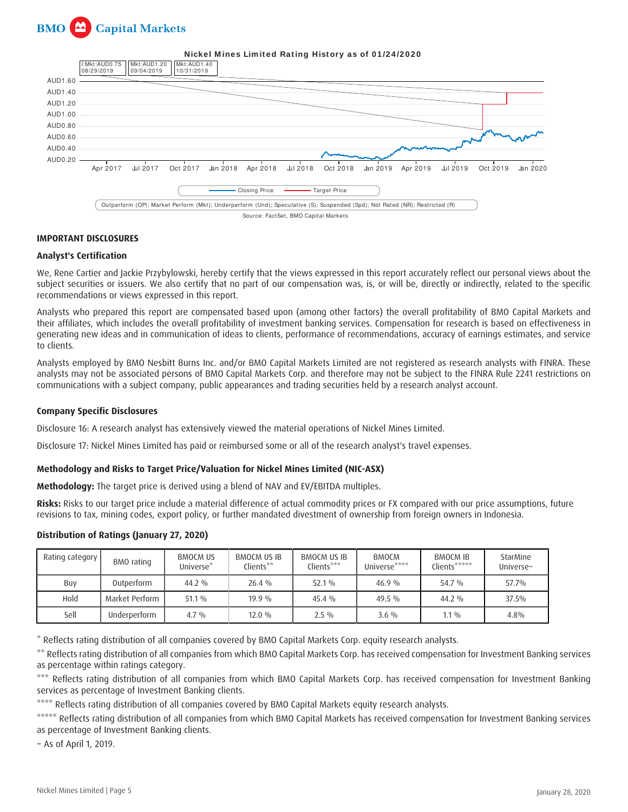



#### **IMPORTANT DISCLOSURES**

#### **Analyst's Certification**

We, Rene Cartier and Jackie Przybylowski, hereby certify that the views expressed in this report accurately reflect our personal views about the subject securities or issuers. We also certify that no part of our compensation was, is, or will be, directly or indirectly, related to the specific recommendations or views expressed in this report.

Analysts who prepared this report are compensated based upon (among other factors) the overall profitability of BMO Capital Markets and their affiliates, which includes the overall profitability of investment banking services. Compensation for research is based on effectiveness in generating new ideas and in communication of ideas to clients, performance of recommendations, accuracy of earnings estimates, and service to clients.

Analysts employed by BMO Nesbitt Burns Inc. and/or BMO Capital Markets Limited are not registered as research analysts with FINRA. These analysts may not be associated persons of BMO Capital Markets Corp. and therefore may not be subject to the FINRA Rule 2241 restrictions on communications with a subject company, public appearances and trading securities held by a research analyst account.

#### **Company Specific Disclosures**

Disclosure 16: A research analyst has extensively viewed the material operations of Nickel Mines Limited.

Disclosure 17: Nickel Mines Limited has paid or reimbursed some or all of the research analyst's travel expenses.

#### **Methodology and Risks to Target Price/Valuation for Nickel Mines Limited (NIC-ASX)**

**Methodology:** The target price is derived using a blend of NAV and EV/EBITDA multiples.

**Risks:** Risks to our target price include a material difference of actual commodity prices or FX compared with our price assumptions, future revisions to tax, mining codes, export policy, or further mandated divestment of ownership from foreign owners in Indonesia.

#### **Distribution of Ratings (January 27, 2020)**

| Rating category I | BMO rating     | <b>BMOCM US</b><br>Universe* | BMOCM US IB<br>Clients** | BMOCM US IB<br>Clients*** | <b>BMOCM</b><br>Universe**** | <b>BMOCM IB</b><br>Clients***** | StarMine<br>Universe~ |
|-------------------|----------------|------------------------------|--------------------------|---------------------------|------------------------------|---------------------------------|-----------------------|
| Buy               | Outperform     | 44.2 %                       | 26.4 %                   | $52.1\%$                  | $46.9\%$                     | 54.7 %                          | 57.7%                 |
| Hold              | Market Perform | $51.1\%$                     | $19.9\%$                 | $45.4\%$                  | $49.5\%$                     | $44.2\%$                        | 37.5%                 |
| Sell              | Underperform   | $4.7\%$                      | $12.0\%$                 | $2.5\%$                   | $3.6\%$                      | $1.1\%$                         | 4.8%                  |

\* Reflects rating distribution of all companies covered by BMO Capital Markets Corp. equity research analysts.

\*\* Reflects rating distribution of all companies from which BMO Capital Markets Corp. has received compensation for Investment Banking services as percentage within ratings category.

\*\*\* Reflects rating distribution of all companies from which BMO Capital Markets Corp. has received compensation for Investment Banking services as percentage of Investment Banking clients.

\*\*\*\* Reflects rating distribution of all companies covered by BMO Capital Markets equity research analysts.

\*\*\*\*\* Reflects rating distribution of all companies from which BMO Capital Markets has received compensation for Investment Banking services as percentage of Investment Banking clients.

~ As of April 1, 2019.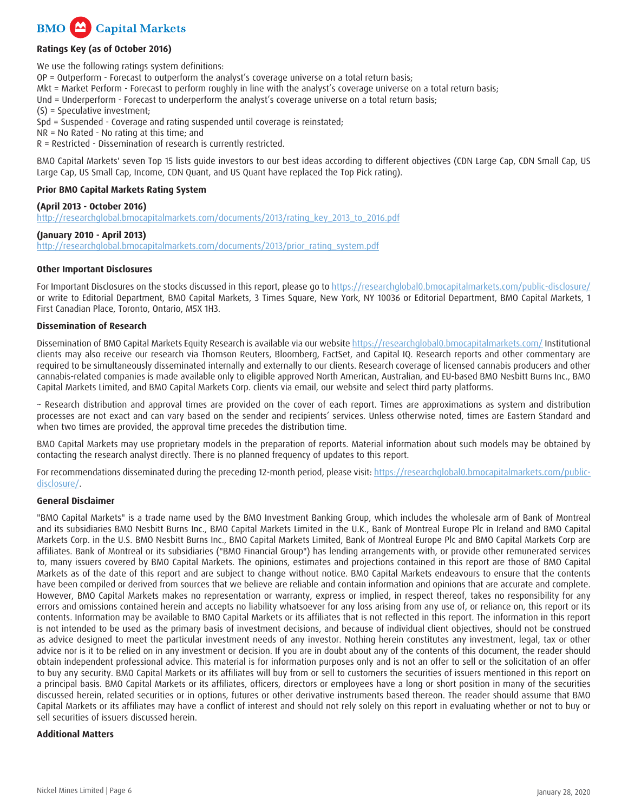

## **Ratings Key (as of October 2016)**

We use the following ratings system definitions: OP = Outperform - Forecast to outperform the analyst's coverage universe on a total return basis; Mkt = Market Perform - Forecast to perform roughly in line with the analyst's coverage universe on a total return basis; Und = Underperform - Forecast to underperform the analyst's coverage universe on a total return basis; (S) = Speculative investment; Spd = Suspended - Coverage and rating suspended until coverage is reinstated; NR = No Rated - No rating at this time; and R = Restricted - Dissemination of research is currently restricted.

BMO Capital Markets' seven Top 15 lists guide investors to our best ideas according to different objectives (CDN Large Cap, CDN Small Cap, US Large Cap, US Small Cap, Income, CDN Quant, and US Quant have replaced the Top Pick rating).

#### **Prior BMO Capital Markets Rating System**

**(April 2013 - October 2016)** [http://researchglobal.bmocapitalmarkets.com/documents/2013/rating\\_key\\_2013\\_to\\_2016.pdf](http://researchglobal.bmocapitalmarkets.com/documents/2013/rating_key_2013_to_2016.pdf?)

**(January 2010 - April 2013)** [http://researchglobal.bmocapitalmarkets.com/documents/2013/prior\\_rating\\_system.pdf](http://researchglobal.bmocapitalmarkets.com/documents/2013/prior_rating_system.pdf?)

#### **Other Important Disclosures**

For Important Disclosures on the stocks discussed in this report, please go to <https://researchglobal0.bmocapitalmarkets.com/public-disclosure/> or write to Editorial Department, BMO Capital Markets, 3 Times Square, New York, NY 10036 or Editorial Department, BMO Capital Markets, 1 First Canadian Place, Toronto, Ontario, M5X 1H3.

#### **Dissemination of Research**

Dissemination of BMO Capital Markets Equity Research is available via our website <https://researchglobal0.bmocapitalmarkets.com/> Institutional clients may also receive our research via Thomson Reuters, Bloomberg, FactSet, and Capital IQ. Research reports and other commentary are required to be simultaneously disseminated internally and externally to our clients. Research coverage of licensed cannabis producers and other cannabis-related companies is made available only to eligible approved North American, Australian, and EU-based BMO Nesbitt Burns Inc., BMO Capital Markets Limited, and BMO Capital Markets Corp. clients via email, our website and select third party platforms.

~ Research distribution and approval times are provided on the cover of each report. Times are approximations as system and distribution processes are not exact and can vary based on the sender and recipients' services. Unless otherwise noted, times are Eastern Standard and when two times are provided, the approval time precedes the distribution time.

BMO Capital Markets may use proprietary models in the preparation of reports. Material information about such models may be obtained by contacting the research analyst directly. There is no planned frequency of updates to this report.

For recommendations disseminated during the preceding 12-month period, please visit: [https://researchglobal0.bmocapitalmarkets.com/public](https://researchglobal0.bmocapitalmarkets.com/public-disclosure/)[disclosure/](https://researchglobal0.bmocapitalmarkets.com/public-disclosure/).

#### **General Disclaimer**

"BMO Capital Markets" is a trade name used by the BMO Investment Banking Group, which includes the wholesale arm of Bank of Montreal and its subsidiaries BMO Nesbitt Burns Inc., BMO Capital Markets Limited in the U.K., Bank of Montreal Europe Plc in Ireland and BMO Capital Markets Corp. in the U.S. BMO Nesbitt Burns Inc., BMO Capital Markets Limited, Bank of Montreal Europe Plc and BMO Capital Markets Corp are affiliates. Bank of Montreal or its subsidiaries ("BMO Financial Group") has lending arrangements with, or provide other remunerated services to, many issuers covered by BMO Capital Markets. The opinions, estimates and projections contained in this report are those of BMO Capital Markets as of the date of this report and are subject to change without notice. BMO Capital Markets endeavours to ensure that the contents have been compiled or derived from sources that we believe are reliable and contain information and opinions that are accurate and complete. However, BMO Capital Markets makes no representation or warranty, express or implied, in respect thereof, takes no responsibility for any errors and omissions contained herein and accepts no liability whatsoever for any loss arising from any use of, or reliance on, this report or its contents. Information may be available to BMO Capital Markets or its affiliates that is not reflected in this report. The information in this report is not intended to be used as the primary basis of investment decisions, and because of individual client objectives, should not be construed as advice designed to meet the particular investment needs of any investor. Nothing herein constitutes any investment, legal, tax or other advice nor is it to be relied on in any investment or decision. If you are in doubt about any of the contents of this document, the reader should obtain independent professional advice. This material is for information purposes only and is not an offer to sell or the solicitation of an offer to buy any security. BMO Capital Markets or its affiliates will buy from or sell to customers the securities of issuers mentioned in this report on a principal basis. BMO Capital Markets or its affiliates, officers, directors or employees have a long or short position in many of the securities discussed herein, related securities or in options, futures or other derivative instruments based thereon. The reader should assume that BMO Capital Markets or its affiliates may have a conflict of interest and should not rely solely on this report in evaluating whether or not to buy or sell securities of issuers discussed herein.

#### **Additional Matters**